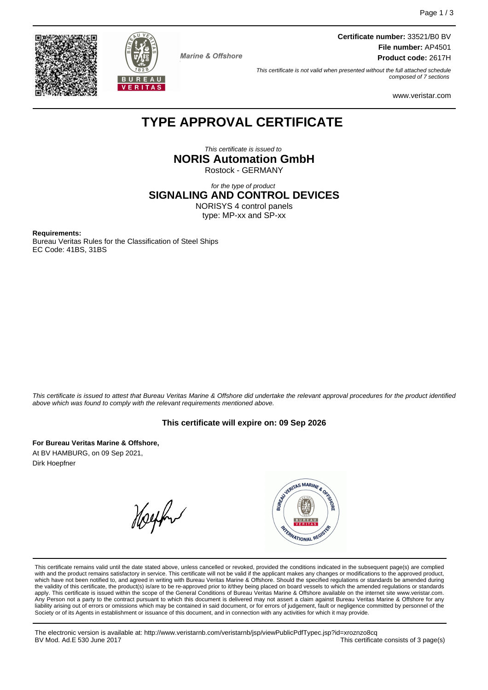



**Marine & Offshore** 

**Certificate number:** 33521/B0 BV **File number:** AP4501 **Product code:** 2617H

This certificate is not valid when presented without the full attached schedule composed of 7 sections

www.veristar.com

# **TYPE APPROVAL CERTIFICATE**

This certificate is issued to **NORIS Automation GmbH** Rostock - GERMANY

for the type of product **SIGNALING AND CONTROL DEVICES** NORISYS 4 control panels

type: MP-xx and SP-xx

**Requirements:**

Bureau Veritas Rules for the Classification of Steel Ships EC Code: 41BS, 31BS

This certificate is issued to attest that Bureau Veritas Marine & Offshore did undertake the relevant approval procedures for the product identified above which was found to comply with the relevant requirements mentioned above.

## **This certificate will expire on: 09 Sep 2026**

**For Bureau Veritas Marine & Offshore,** At BV HAMBURG, on 09 Sep 2021, Dirk Hoepfner

Helphur



This certificate remains valid until the date stated above, unless cancelled or revoked, provided the conditions indicated in the subsequent page(s) are complied with and the product remains satisfactory in service. This certificate will not be valid if the applicant makes any changes or modifications to the approved product, which have not been notified to, and agreed in writing with Bureau Veritas Marine & Offshore. Should the specified regulations or standards be amended during<br>the validity of this certificate, the product(s) is/are to be re apply. This certificate is issued within the scope of the General Conditions of Bureau Veritas Marine & Offshore available on the internet site www.veristar.com. Any Person not a party to the contract pursuant to which this document is delivered may not assert a claim against Bureau Veritas Marine & Offshore for any liability arising out of errors or omissions which may be contained in said document, or for errors of judgement, fault or negligence committed by personnel of the<br>Society or of its Agents in establishment or issuance of t

The electronic version is available at: http://www.veristarnb.com/veristarnb/jsp/viewPublicPdfTypec.jsp?id=xroznzo8cq This certificate consists of 3 page(s)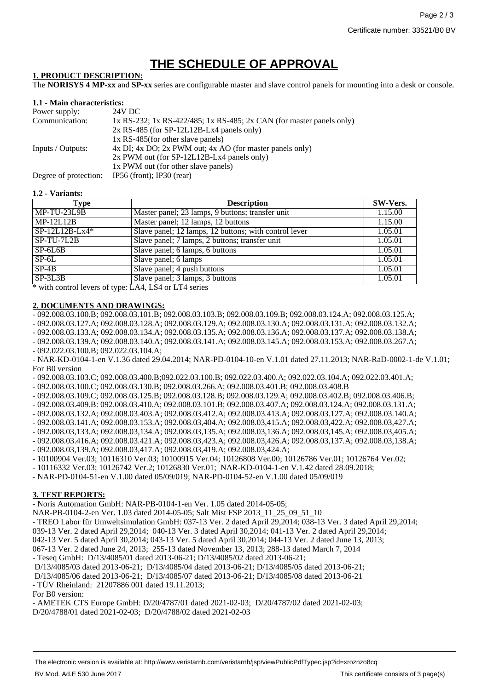# **THE SCHEDULE OF APPROVAL**

#### **1. PRODUCT DESCRIPTION:**

The **NORISYS 4 MP-xx** and **SP-xx** series are configurable master and slave control panels for mounting into a desk or console.

#### **1.1 - Main characteristics:**

| Power supply:         | 24V DC                                                               |
|-----------------------|----------------------------------------------------------------------|
| Communication:        | 1x RS-232; 1x RS-422/485; 1x RS-485; 2x CAN (for master panels only) |
|                       | $2x$ RS-485 (for SP-12L12B-Lx4 panels only)                          |
|                       | 1x RS-485(for other slave panels)                                    |
| Inputs / Outputs:     | 4x DI; 4x DO; 2x PWM out; 4x AO (for master panels only)             |
|                       | 2x PWM out (for SP-12L12B-Lx4 panels only)                           |
|                       | 1x PWM out (for other slave panels)                                  |
| Degree of protection: | IP56 (front); IP30 (rear)                                            |

#### **1.2 - Variants:**

| Type                  | <b>Description</b>                                    | SW-Vers. |
|-----------------------|-------------------------------------------------------|----------|
| MP-TU-23L9B           | Master panel; 23 lamps, 9 buttons; transfer unit      | 1.15.00  |
| $MP-12L12B$           | Master panel; 12 lamps, 12 buttons                    | 1.15.00  |
| $SP-12L12B-Lx4*$      | Slave panel; 12 lamps, 12 buttons; with control lever | 1.05.01  |
| SP-TU-7L2B            | Slave panel; 7 lamps, 2 buttons; transfer unit        | 1.05.01  |
| $SP-6L6B$             | Slave panel; 6 lamps, 6 buttons                       | 1.05.01  |
| $SP-6L$               | Slave panel; 6 lamps                                  | 1.05.01  |
| $SP-4B$               | Slave panel; 4 push buttons                           | 1.05.01  |
| $SP-3L3B$<br>.<br>. . | Slave panel; 3 lamps, 3 buttons<br>. <b>.</b>         | 1.05.01  |

\* with control levers of type: LA4, LS4 or LT4 series

#### **2. DOCUMENTS AND DRAWINGS:**

- 092.008.03.100.B; 092.008.03.101.B; 092.008.03.103.B; 092.008.03.109.B; 092.008.03.124.A; 092.008.03.125.A;

- 092.008.03.127.A; 092.008.03.128.A; 092.008.03.129.A; 092.008.03.130.A; 092.008.03.131.A; 092.008.03.132.A;

- 092.008.03.133.A; 092.008.03.134.A; 092.008.03.135.A; 092.008.03.136.A; 092.008.03.137.A; 092.008.03.138.A;

- 092.008.03.139.A; 092.008.03.140.A; 092.008.03.141.A; 092.008.03.145.A; 092.008.03.153.A; 092.008.03.267.A;

- 092.022.03.100.B; 092.022.03.104.A;

- NAR-KD-0104-1-en V.1.36 dated 29.04.2014; NAR-PD-0104-10-en V.1.01 dated 27.11.2013; NAR-RaD-0002-1-de V.1.01; For B0 version

- 092.008.03.103.C; 092.008.03.400.B;092.022.03.100.B; 092.022.03.400.A; 092.022.03.104.A; 092.022.03.401.A;

- 092.008.03.100.C; 092.008.03.130.B; 092.008.03.266.A; 092.008.03.401.B; 092.008.03.408.B

- 092.008.03.109.C; 092.008.03.125.B; 092.008.03.128.B; 092.008.03.129.A; 092.008.03.402.B; 092.008.03.406.B;

- 092.008.03.409.B: 092.008.03.410.A; 092.008.03.101.B; 092.008.03.407.A; 092.008.03.124.A; 092.008.03.131.A;

- 092.008.03.132.A; 092.008.03.403.A; 092.008.03.412.A; 092.008.03.413.A; 092.008.03.127.A; 092.008.03.140.A;
- 092.008.03.141.A; 092.008.03.153.A; 092.008.03,404.A; 092.008.03,415.A; 092.008.03,422.A; 092.008.03,427.A;

- 092.008.03,133.A; 092.008.03,134.A; 092.008.03,135.A; 092.008.03,136.A; 092.008.03,145.A; 092.008.03,405.A;

- 092.008.03.416.A; 092.008.03.421.A; 092.008.03,423.A; 092.008.03,426.A; 092.008.03,137.A; 092.008.03,138.A;
- 092.008.03,139.A; 092.008.03,417.A; 092.008.03,419.A; 092.008.03,424.A;
- 10100904 Ver.03; 10116310 Ver.03; 10100915 Ver.04; 10126808 Ver.00; 10126786 Ver.01; 10126764 Ver.02;
- 10116332 Ver.03; 10126742 Ver.2; 10126830 Ver.01; NAR-KD-0104-1-en V.1.42 dated 28.09.2018;
- NAR-PD-0104-51-en V.1.00 dated 05/09/019; NAR-PD-0104-52-en V.1.00 dated 05/09/019

# **3. TEST REPORTS:**

- Noris Automation GmbH: NAR-PB-0104-1-en Ver. 1.05 dated 2014-05-05;

NAR-PB-0104-2-en Ver. 1.03 dated 2014-05-05; Salt Mist FSP 2013\_11\_25\_09\_51\_10

- TREO Labor für Umweltsimulation GmbH: 037-13 Ver. 2 dated April 29,2014; 038-13 Ver. 3 dated April 29,2014;

039-13 Ver. 2 dated April 29,2014; 040-13 Ver. 3 dated April 30,2014; 041-13 Ver. 2 dated April 29,2014;

042-13 Ver. 5 dated April 30,2014; 043-13 Ver. 5 dated April 30,2014; 044-13 Ver. 2 dated June 13, 2013;

067-13 Ver. 2 dated June 24, 2013; 255-13 dated November 13, 2013; 288-13 dated March 7, 2014

- Teseq GmbH: D/13/4085/01 dated 2013-06-21; D/13/4085/02 dated 2013-06-21;

D/13/4085/03 dated 2013-06-21; D/13/4085/04 dated 2013-06-21; D/13/4085/05 dated 2013-06-21;

D/13/4085/06 dated 2013-06-21; D/13/4085/07 dated 2013-06-21; D/13/4085/08 dated 2013-06-21 - TÜV Rheinland: 21207886 001 dated 19.11.2013;

For B0 version:

- AMETEK CTS Europe GmbH: D/20/4787/01 dated 2021-02-03; D/20/4787/02 dated 2021-02-03; D/20/4788/01 dated 2021-02-03; D/20/4788/02 dated 2021-02-03